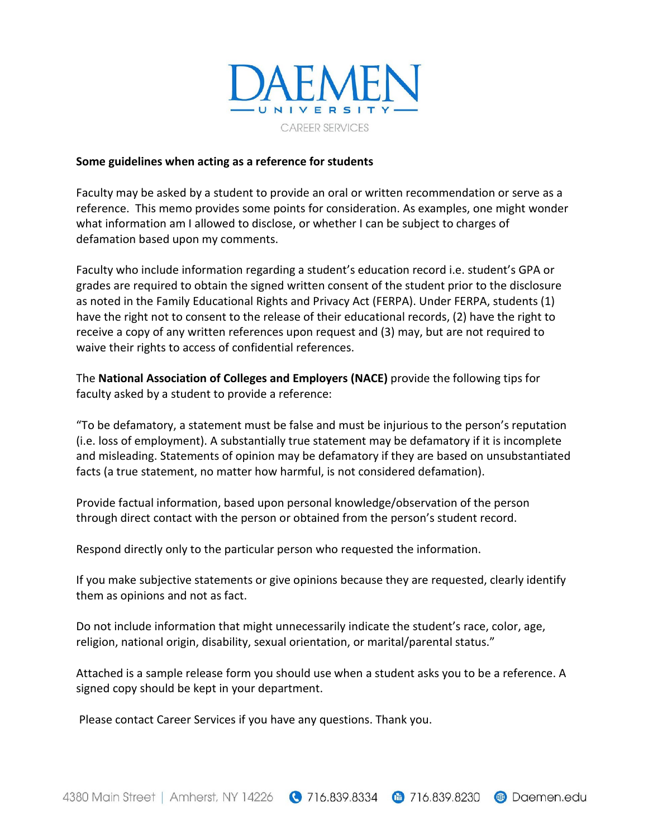

## **Some guidelines when acting as a reference for students**

Faculty may be asked by a student to provide an oral or written recommendation or serve as a reference. This memo provides some points for consideration. As examples, one might wonder what information am I allowed to disclose, or whether I can be subject to charges of defamation based upon my comments.

Faculty who include information regarding a student's education record i.e. student's GPA or grades are required to obtain the signed written consent of the student prior to the disclosure as noted in the Family Educational Rights and Privacy Act (FERPA). Under FERPA, students (1) have the right not to consent to the release of their educational records, (2) have the right to receive a copy of any written references upon request and (3) may, but are not required to waive their rights to access of confidential references.

The **National Association of Colleges and Employers (NACE)** provide the following tips for faculty asked by a student to provide a reference:

"To be defamatory, a statement must be false and must be injurious to the person's reputation (i.e. loss of employment). A substantially true statement may be defamatory if it is incomplete and misleading. Statements of opinion may be defamatory if they are based on unsubstantiated facts (a true statement, no matter how harmful, is not considered defamation).

Provide factual information, based upon personal knowledge/observation of the person through direct contact with the person or obtained from the person's student record.

Respond directly only to the particular person who requested the information.

If you make subjective statements or give opinions because they are requested, clearly identify them as opinions and not as fact.

Do not include information that might unnecessarily indicate the student's race, color, age, religion, national origin, disability, sexual orientation, or marital/parental status."

Attached is a sample release form you should use when a student asks you to be a reference. A signed copy should be kept in your department.

Please contact Career Services if you have any questions. Thank you.